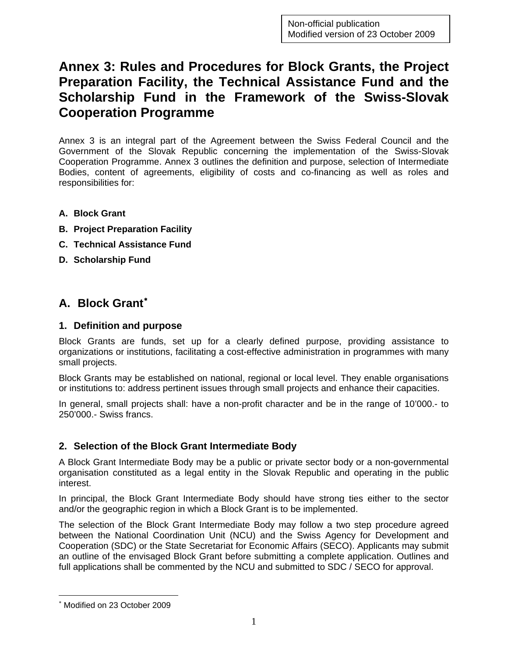# **Annex 3: Rules and Procedures for Block Grants, the Project Preparation Facility, the Technical Assistance Fund and the Scholarship Fund in the Framework of the Swiss-Slovak Cooperation Programme**

Annex 3 is an integral part of the Agreement between the Swiss Federal Council and the Government of the Slovak Republic concerning the implementation of the Swiss-Slovak Cooperation Programme. Annex 3 outlines the definition and purpose, selection of Intermediate Bodies, content of agreements, eligibility of costs and co-financing as well as roles and responsibilities for:

- **A. Block Grant**
- **B. Project Preparation Facility**
- **C. Technical Assistance Fund**
- **D. Scholarship Fund**

## **A. Block Grant**[∗](#page-0-0)

#### **1. Definition and purpose**

Block Grants are funds, set up for a clearly defined purpose, providing assistance to organizations or institutions, facilitating a cost-effective administration in programmes with many small projects.

Block Grants may be established on national, regional or local level. They enable organisations or institutions to: address pertinent issues through small projects and enhance their capacities.

In general, small projects shall: have a non-profit character and be in the range of 10'000.- to 250'000.- Swiss francs.

#### **2. Selection of the Block Grant Intermediate Body**

A Block Grant Intermediate Body may be a public or private sector body or a non-governmental organisation constituted as a legal entity in the Slovak Republic and operating in the public interest.

In principal, the Block Grant Intermediate Body should have strong ties either to the sector and/or the geographic region in which a Block Grant is to be implemented.

The selection of the Block Grant Intermediate Body may follow a two step procedure agreed between the National Coordination Unit (NCU) and the Swiss Agency for Development and Cooperation (SDC) or the State Secretariat for Economic Affairs (SECO). Applicants may submit an outline of the envisaged Block Grant before submitting a complete application. Outlines and full applications shall be commented by the NCU and submitted to SDC / SECO for approval.

 $\overline{a}$ 

<span id="page-0-0"></span><sup>∗</sup> Modified on 23 October 2009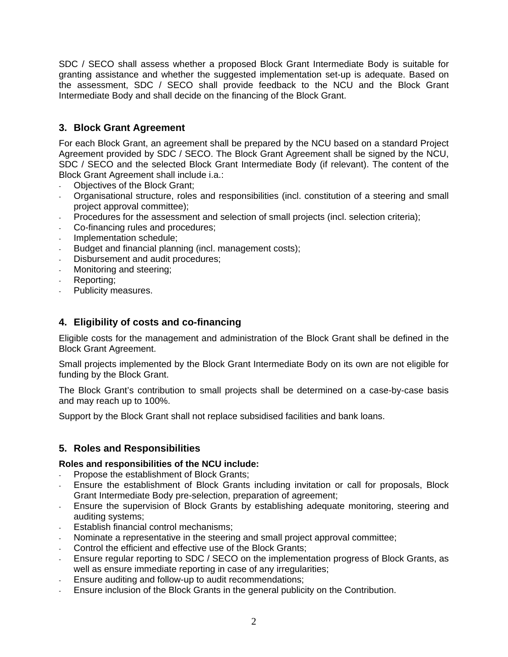SDC / SECO shall assess whether a proposed Block Grant Intermediate Body is suitable for granting assistance and whether the suggested implementation set-up is adequate. Based on the assessment, SDC / SECO shall provide feedback to the NCU and the Block Grant Intermediate Body and shall decide on the financing of the Block Grant.

### **3. Block Grant Agreement**

For each Block Grant, an agreement shall be prepared by the NCU based on a standard Project Agreement provided by SDC / SECO. The Block Grant Agreement shall be signed by the NCU, SDC / SECO and the selected Block Grant Intermediate Body (if relevant). The content of the Block Grant Agreement shall include i.a.:

- Objectives of the Block Grant;
- Organisational structure, roles and responsibilities (incl. constitution of a steering and small project approval committee);
- Procedures for the assessment and selection of small projects (incl. selection criteria);
- Co-financing rules and procedures;
- Implementation schedule;
- Budget and financial planning (incl. management costs);
- Disbursement and audit procedures;
- Monitoring and steering;
- Reporting:
- Publicity measures.

#### **4. Eligibility of costs and co-financing**

Eligible costs for the management and administration of the Block Grant shall be defined in the Block Grant Agreement.

Small projects implemented by the Block Grant Intermediate Body on its own are not eligible for funding by the Block Grant.

The Block Grant's contribution to small projects shall be determined on a case-by-case basis and may reach up to 100%.

Support by the Block Grant shall not replace subsidised facilities and bank loans.

#### **5. Roles and Responsibilities**

#### **Roles and responsibilities of the NCU include:**

- Propose the establishment of Block Grants;
- Ensure the establishment of Block Grants including invitation or call for proposals, Block Grant Intermediate Body pre-selection, preparation of agreement;
- Ensure the supervision of Block Grants by establishing adequate monitoring, steering and auditing systems;
- Establish financial control mechanisms:
- Nominate a representative in the steering and small project approval committee;
- Control the efficient and effective use of the Block Grants;
- Ensure regular reporting to SDC / SECO on the implementation progress of Block Grants, as well as ensure immediate reporting in case of any irregularities;
- Ensure auditing and follow-up to audit recommendations;
- Ensure inclusion of the Block Grants in the general publicity on the Contribution.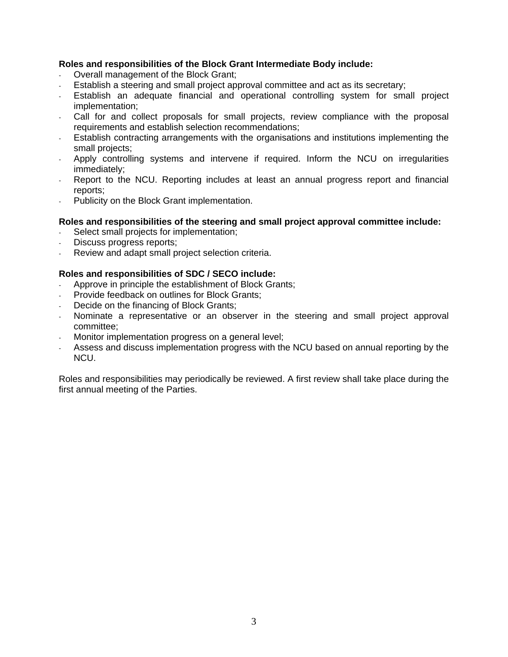#### **Roles and responsibilities of the Block Grant Intermediate Body include:**

- Overall management of the Block Grant;
- Establish a steering and small project approval committee and act as its secretary;
- Establish an adequate financial and operational controlling system for small project implementation;
- Call for and collect proposals for small projects, review compliance with the proposal requirements and establish selection recommendations;
- Establish contracting arrangements with the organisations and institutions implementing the small projects;
- Apply controlling systems and intervene if required. Inform the NCU on irregularities immediately;
- Report to the NCU. Reporting includes at least an annual progress report and financial reports;
- Publicity on the Block Grant implementation.

#### **Roles and responsibilities of the steering and small project approval committee include:**

- Select small projects for implementation;
- Discuss progress reports;
- Review and adapt small project selection criteria.

#### **Roles and responsibilities of SDC / SECO include:**

- Approve in principle the establishment of Block Grants:
- Provide feedback on outlines for Block Grants;
- Decide on the financing of Block Grants;
- Nominate a representative or an observer in the steering and small project approval committee;
- Monitor implementation progress on a general level;
- Assess and discuss implementation progress with the NCU based on annual reporting by the NCU.

Roles and responsibilities may periodically be reviewed. A first review shall take place during the first annual meeting of the Parties.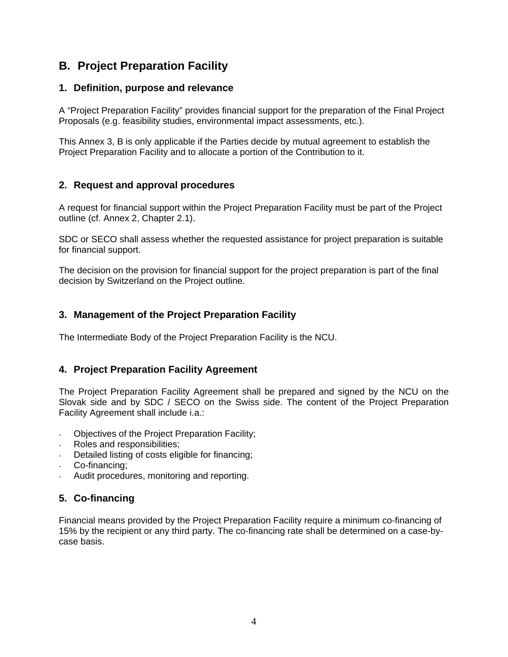## **B. Project Preparation Facility**

#### **1. Definition, purpose and relevance**

A "Project Preparation Facility" provides financial support for the preparation of the Final Project Proposals (e.g. feasibility studies, environmental impact assessments, etc.).

This Annex 3, B is only applicable if the Parties decide by mutual agreement to establish the Project Preparation Facility and to allocate a portion of the Contribution to it.

### **2. Request and approval procedures**

A request for financial support within the Project Preparation Facility must be part of the Project outline (cf. Annex 2, Chapter 2.1).

SDC or SECO shall assess whether the requested assistance for project preparation is suitable for financial support.

The decision on the provision for financial support for the project preparation is part of the final decision by Switzerland on the Project outline.

#### **3. Management of the Project Preparation Facility**

The Intermediate Body of the Project Preparation Facility is the NCU.

#### **4. Project Preparation Facility Agreement**

The Project Preparation Facility Agreement shall be prepared and signed by the NCU on the Slovak side and by SDC / SECO on the Swiss side. The content of the Project Preparation Facility Agreement shall include i.a.:

- Objectives of the Project Preparation Facility;
- Roles and responsibilities;
- Detailed listing of costs eligible for financing;
- Co-financing;
- Audit procedures, monitoring and reporting.

### **5. Co-financing**

Financial means provided by the Project Preparation Facility require a minimum co-financing of 15% by the recipient or any third party. The co-financing rate shall be determined on a case-bycase basis.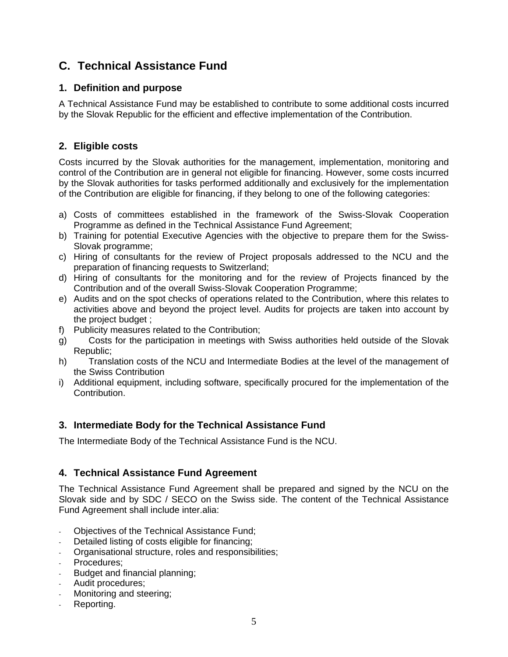## **C. Technical Assistance Fund**

#### **1. Definition and purpose**

A Technical Assistance Fund may be established to contribute to some additional costs incurred by the Slovak Republic for the efficient and effective implementation of the Contribution.

#### **2. Eligible costs**

Costs incurred by the Slovak authorities for the management, implementation, monitoring and control of the Contribution are in general not eligible for financing. However, some costs incurred by the Slovak authorities for tasks performed additionally and exclusively for the implementation of the Contribution are eligible for financing, if they belong to one of the following categories:

- a) Costs of committees established in the framework of the Swiss-Slovak Cooperation Programme as defined in the Technical Assistance Fund Agreement;
- b) Training for potential Executive Agencies with the objective to prepare them for the Swiss-Slovak programme;
- c) Hiring of consultants for the review of Project proposals addressed to the NCU and the preparation of financing requests to Switzerland;
- d) Hiring of consultants for the monitoring and for the review of Projects financed by the Contribution and of the overall Swiss-Slovak Cooperation Programme;
- e) Audits and on the spot checks of operations related to the Contribution, where this relates to activities above and beyond the project level. Audits for projects are taken into account by the project budget ;
- f) Publicity measures related to the Contribution;
- g) Costs for the participation in meetings with Swiss authorities held outside of the Slovak Republic;
- h) Translation costs of the NCU and Intermediate Bodies at the level of the management of the Swiss Contribution
- i) Additional equipment, including software, specifically procured for the implementation of the Contribution.

#### **3. Intermediate Body for the Technical Assistance Fund**

The Intermediate Body of the Technical Assistance Fund is the NCU.

#### **4. Technical Assistance Fund Agreement**

The Technical Assistance Fund Agreement shall be prepared and signed by the NCU on the Slovak side and by SDC / SECO on the Swiss side. The content of the Technical Assistance Fund Agreement shall include inter.alia:

- Objectives of the Technical Assistance Fund;
- Detailed listing of costs eligible for financing;
- Organisational structure, roles and responsibilities;
- Procedures:
- Budget and financial planning;
- Audit procedures;
- Monitoring and steering;
- Reporting.